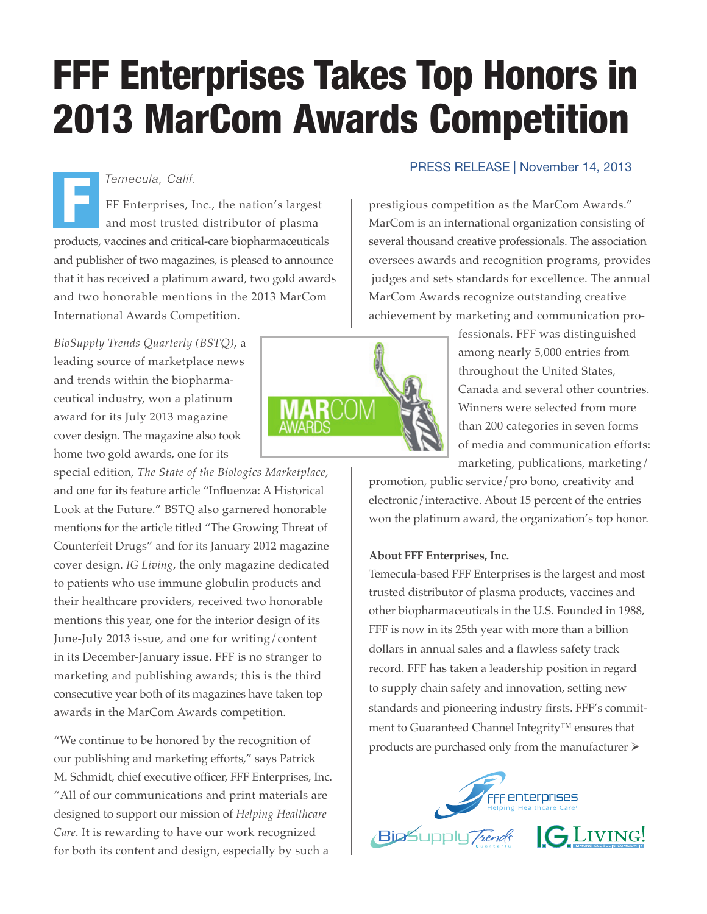# FFF Enterprises Takes Top Honors in 2013 MarCom Awards Competition

*Temecula, Calif.*

FF Enterprises, Inc., the nation's largest and most trusted distributor of plasma products, vaccines and critical-care biopharmaceuticals and publisher of two magazines, is pleased to announce that it has received a platinum award, two gold awards and two honorable mentions in the 2013 MarCom International Awards Competition.

*BioSupply Trends Quarterly (BSTQ)*, a leading source of marketplace news and trends within the biopharmaceutical industry, won a platinum award for its July 2013 magazine cover design. The magazine also took home two gold awards, one for its

special edition, *The State of the Biologics Marketplace*, and one for its feature article "Influenza: A Historical Look at the Future." BSTQ also garnered honorable mentions for the article titled "The Growing Threat of Counterfeit Drugs" and for its January 2012 magazine cover design. *IG Living*, the only magazine dedicated to patients who use immune globulin products and their healthcare providers, received two honorable mentions this year, one for the interior design of its June-July 2013 issue, and one for writing/content in its December-January issue. FFF is no stranger to marketing and publishing awards; this is the third consecutive year both of its magazines have taken top awards in the MarCom Awards competition.

"We continue to be honored by the recognition of our publishing and marketing efforts," says Patrick M. Schmidt, chief executive officer, FFF Enterprises, Inc. "All of our communications and print materials are designed to support our mission of *Helping Healthcare Care*. It is rewarding to have our work recognized for both its content and design, especially by such a



## PRESS RELEASE | November 14, 2013

prestigious competition as the MarCom Awards." MarCom is an international organization consisting of several thousand creative professionals. The association oversees awards and recognition programs, provides judges and sets standards for excellence. The annual MarCom Awards recognize outstanding creative achievement by marketing and communication pro-

> fessionals. FFF was distinguished among nearly 5,000 entries from throughout the United States, Canada and several other countries. Winners were selected from more than 200 categories in seven forms of media and communication efforts: marketing, publications, marketing/

promotion, public service/pro bono, creativity and electronic/interactive. About 15 percent of the entries won the platinum award, the organization's top honor.

## **About FFF Enterprises, Inc.**

Temecula-based FFF Enterprises is the largest and most trusted distributor of plasma products, vaccines and other biopharmaceuticals in the U.S. Founded in 1988, FFF is now in its 25th year with more than a billion dollars in annual sales and a flawless safety track record. FFF has taken a leadership position in regard to supply chain safety and innovation, setting new standards and pioneering industry firsts. FFF's commitment to Guaranteed Channel Integrity™ ensures that products are purchased only from the manufacturer